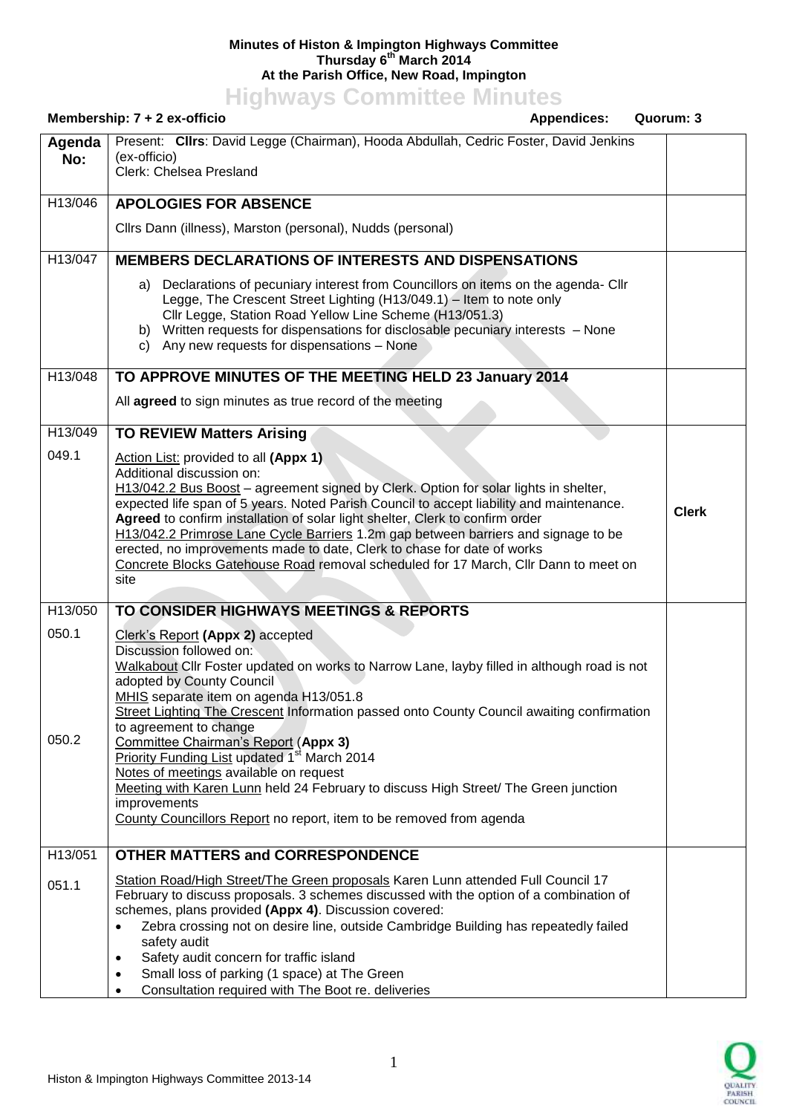## **Minutes of Histon & Impington Highways Committee Thursday 6 th March 2014 At the Parish Office, New Road, Impington**

**Highways Committee Minutes**

|                | Membership: $7 + 2$ ex-officio                                                                                                                                                                                                                                                                                                                                                                                                                                                                                                                                                                                                                                                       | <b>Appendices:</b> | Quorum: 3    |
|----------------|--------------------------------------------------------------------------------------------------------------------------------------------------------------------------------------------------------------------------------------------------------------------------------------------------------------------------------------------------------------------------------------------------------------------------------------------------------------------------------------------------------------------------------------------------------------------------------------------------------------------------------------------------------------------------------------|--------------------|--------------|
| Agenda<br>No:  | Present: Cllrs: David Legge (Chairman), Hooda Abdullah, Cedric Foster, David Jenkins<br>(ex-officio)<br>Clerk: Chelsea Presland                                                                                                                                                                                                                                                                                                                                                                                                                                                                                                                                                      |                    |              |
| H13/046        | <b>APOLOGIES FOR ABSENCE</b>                                                                                                                                                                                                                                                                                                                                                                                                                                                                                                                                                                                                                                                         |                    |              |
|                | Cllrs Dann (illness), Marston (personal), Nudds (personal)                                                                                                                                                                                                                                                                                                                                                                                                                                                                                                                                                                                                                           |                    |              |
| H13/047        | <b>MEMBERS DECLARATIONS OF INTERESTS AND DISPENSATIONS</b>                                                                                                                                                                                                                                                                                                                                                                                                                                                                                                                                                                                                                           |                    |              |
|                | a) Declarations of pecuniary interest from Councillors on items on the agenda- Cllr<br>Legge, The Crescent Street Lighting (H13/049.1) - Item to note only<br>Cllr Legge, Station Road Yellow Line Scheme (H13/051.3)<br>b) Written requests for dispensations for disclosable pecuniary interests - None<br>Any new requests for dispensations - None<br>C)                                                                                                                                                                                                                                                                                                                         |                    |              |
| H13/048        | TO APPROVE MINUTES OF THE MEETING HELD 23 January 2014                                                                                                                                                                                                                                                                                                                                                                                                                                                                                                                                                                                                                               |                    |              |
|                | All agreed to sign minutes as true record of the meeting                                                                                                                                                                                                                                                                                                                                                                                                                                                                                                                                                                                                                             |                    |              |
| H13/049        | <b>TO REVIEW Matters Arising</b>                                                                                                                                                                                                                                                                                                                                                                                                                                                                                                                                                                                                                                                     |                    |              |
| 049.1          | Action List: provided to all (Appx 1)<br>Additional discussion on:<br>H13/042.2 Bus Boost – agreement signed by Clerk. Option for solar lights in shelter,<br>expected life span of 5 years. Noted Parish Council to accept liability and maintenance.<br>Agreed to confirm installation of solar light shelter, Clerk to confirm order<br>H13/042.2 Primrose Lane Cycle Barriers 1.2m gap between barriers and signage to be<br>erected, no improvements made to date, Clerk to chase for date of works<br>Concrete Blocks Gatehouse Road removal scheduled for 17 March, Cllr Dann to meet on<br>site                                                                              |                    | <b>Clerk</b> |
| H13/050        | TO CONSIDER HIGHWAYS MEETINGS & REPORTS                                                                                                                                                                                                                                                                                                                                                                                                                                                                                                                                                                                                                                              |                    |              |
| 050.1<br>050.2 | Clerk's Report (Appx 2) accepted<br>Discussion followed on:<br>Walkabout Cllr Foster updated on works to Narrow Lane, layby filled in although road is not<br>adopted by County Council<br>MHIS separate item on agenda H13/051.8<br>Street Lighting The Crescent Information passed onto County Council awaiting confirmation<br>to agreement to change<br>Committee Chairman's Report (Appx 3)<br>Priority Funding List updated 1 <sup>st</sup> March 2014<br>Notes of meetings available on request<br>Meeting with Karen Lunn held 24 February to discuss High Street/ The Green junction<br>improvements<br>County Councillors Report no report, item to be removed from agenda |                    |              |
| H13/051        | <b>OTHER MATTERS and CORRESPONDENCE</b>                                                                                                                                                                                                                                                                                                                                                                                                                                                                                                                                                                                                                                              |                    |              |
| 051.1          | Station Road/High Street/The Green proposals Karen Lunn attended Full Council 17<br>February to discuss proposals. 3 schemes discussed with the option of a combination of<br>schemes, plans provided (Appx 4). Discussion covered:<br>Zebra crossing not on desire line, outside Cambridge Building has repeatedly failed<br>$\bullet$<br>safety audit<br>Safety audit concern for traffic island<br>$\bullet$<br>Small loss of parking (1 space) at The Green<br>$\bullet$<br>Consultation required with The Boot re. deliveries<br>$\bullet$                                                                                                                                      |                    |              |

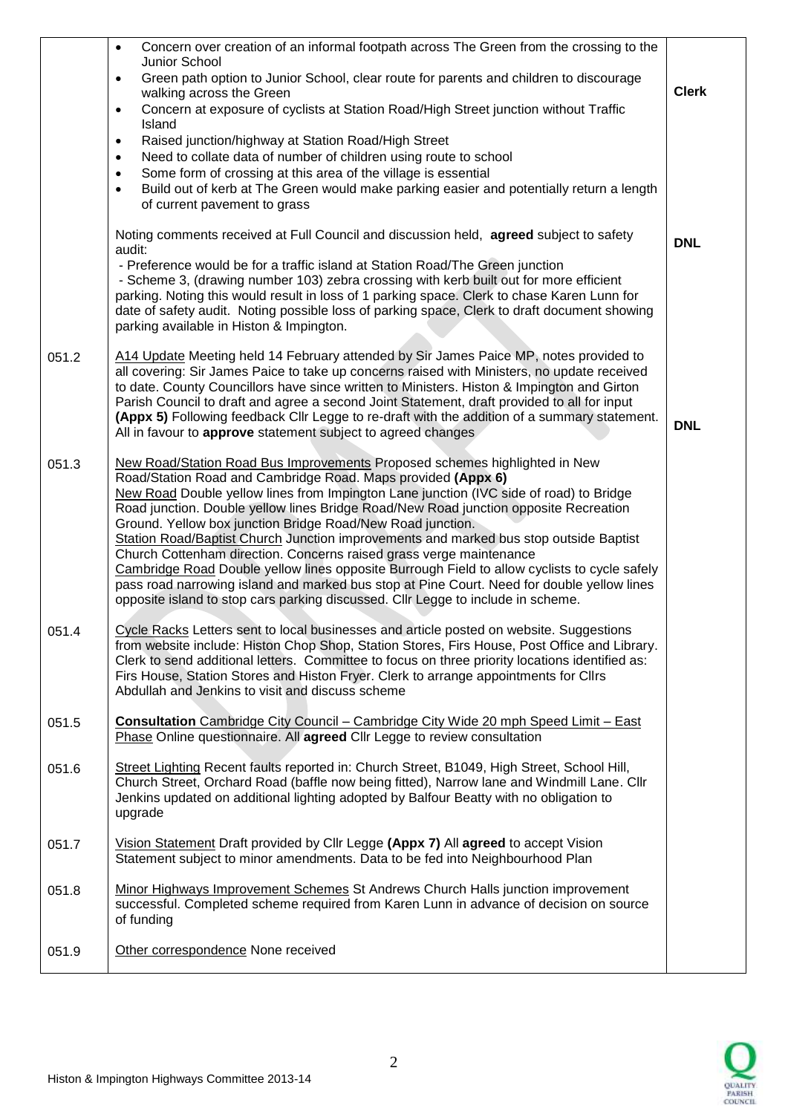|       | Concern over creation of an informal footpath across The Green from the crossing to the<br>$\bullet$<br>Junior School<br>Green path option to Junior School, clear route for parents and children to discourage<br>$\bullet$<br>walking across the Green<br>Concern at exposure of cyclists at Station Road/High Street junction without Traffic<br>$\bullet$<br>Island<br>Raised junction/highway at Station Road/High Street<br>$\bullet$<br>Need to collate data of number of children using route to school<br>$\bullet$<br>Some form of crossing at this area of the village is essential<br>$\bullet$<br>Build out of kerb at The Green would make parking easier and potentially return a length<br>$\bullet$<br>of current pavement to grass<br>Noting comments received at Full Council and discussion held, agreed subject to safety<br>audit:<br>- Preference would be for a traffic island at Station Road/The Green junction<br>- Scheme 3, (drawing number 103) zebra crossing with kerb built out for more efficient | <b>Clerk</b><br><b>DNL</b> |
|-------|-------------------------------------------------------------------------------------------------------------------------------------------------------------------------------------------------------------------------------------------------------------------------------------------------------------------------------------------------------------------------------------------------------------------------------------------------------------------------------------------------------------------------------------------------------------------------------------------------------------------------------------------------------------------------------------------------------------------------------------------------------------------------------------------------------------------------------------------------------------------------------------------------------------------------------------------------------------------------------------------------------------------------------------|----------------------------|
|       | parking. Noting this would result in loss of 1 parking space. Clerk to chase Karen Lunn for<br>date of safety audit. Noting possible loss of parking space, Clerk to draft document showing<br>parking available in Histon & Impington.                                                                                                                                                                                                                                                                                                                                                                                                                                                                                                                                                                                                                                                                                                                                                                                             |                            |
| 051.2 | A14 Update Meeting held 14 February attended by Sir James Paice MP, notes provided to<br>all covering: Sir James Paice to take up concerns raised with Ministers, no update received<br>to date. County Councillors have since written to Ministers. Histon & Impington and Girton<br>Parish Council to draft and agree a second Joint Statement, draft provided to all for input<br>(Appx 5) Following feedback Cllr Legge to re-draft with the addition of a summary statement.<br>All in favour to approve statement subject to agreed changes                                                                                                                                                                                                                                                                                                                                                                                                                                                                                   | <b>DNL</b>                 |
| 051.3 | New Road/Station Road Bus Improvements Proposed schemes highlighted in New<br>Road/Station Road and Cambridge Road. Maps provided (Appx 6)<br>New Road Double yellow lines from Impington Lane junction (IVC side of road) to Bridge<br>Road junction. Double yellow lines Bridge Road/New Road junction opposite Recreation<br>Ground. Yellow box junction Bridge Road/New Road junction.<br>Station Road/Baptist Church Junction improvements and marked bus stop outside Baptist<br>Church Cottenham direction. Concerns raised grass verge maintenance<br>Cambridge Road Double yellow lines opposite Burrough Field to allow cyclists to cycle safely<br>pass road narrowing island and marked bus stop at Pine Court. Need for double yellow lines<br>opposite island to stop cars parking discussed. Cllr Legge to include in scheme.                                                                                                                                                                                        |                            |
| 051.4 | Cycle Racks Letters sent to local businesses and article posted on website. Suggestions<br>from website include: Histon Chop Shop, Station Stores, Firs House, Post Office and Library.<br>Clerk to send additional letters. Committee to focus on three priority locations identified as:<br>Firs House, Station Stores and Histon Fryer. Clerk to arrange appointments for Cllrs<br>Abdullah and Jenkins to visit and discuss scheme                                                                                                                                                                                                                                                                                                                                                                                                                                                                                                                                                                                              |                            |
| 051.5 | <b>Consultation</b> Cambridge City Council - Cambridge City Wide 20 mph Speed Limit - East<br>Phase Online questionnaire. All agreed Cllr Legge to review consultation                                                                                                                                                                                                                                                                                                                                                                                                                                                                                                                                                                                                                                                                                                                                                                                                                                                              |                            |
| 051.6 | Street Lighting Recent faults reported in: Church Street, B1049, High Street, School Hill,<br>Church Street, Orchard Road (baffle now being fitted), Narrow lane and Windmill Lane. Cllr<br>Jenkins updated on additional lighting adopted by Balfour Beatty with no obligation to<br>upgrade                                                                                                                                                                                                                                                                                                                                                                                                                                                                                                                                                                                                                                                                                                                                       |                            |
| 051.7 | Vision Statement Draft provided by Cllr Legge (Appx 7) All agreed to accept Vision<br>Statement subject to minor amendments. Data to be fed into Neighbourhood Plan                                                                                                                                                                                                                                                                                                                                                                                                                                                                                                                                                                                                                                                                                                                                                                                                                                                                 |                            |
| 051.8 | Minor Highways Improvement Schemes St Andrews Church Halls junction improvement<br>successful. Completed scheme required from Karen Lunn in advance of decision on source<br>of funding                                                                                                                                                                                                                                                                                                                                                                                                                                                                                                                                                                                                                                                                                                                                                                                                                                             |                            |
| 051.9 | Other correspondence None received                                                                                                                                                                                                                                                                                                                                                                                                                                                                                                                                                                                                                                                                                                                                                                                                                                                                                                                                                                                                  |                            |